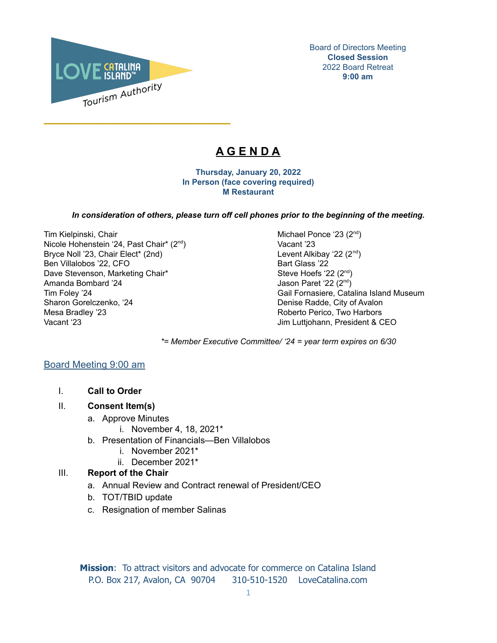

\_\_\_\_\_\_\_\_\_\_\_\_\_\_\_\_\_\_\_\_\_\_\_\_\_\_\_\_\_\_\_\_\_\_\_\_\_\_\_\_\_\_

Board of Directors Meeting **Closed Session** 2022 Board Retreat **9:00 am**

# **A G E N D A**

**Thursday, January 20, 2022 In Person (face covering required) M Restaurant**

#### *In consideration of others, please turn off cell phones prior to the beginning of the meeting.*

Tim Kielpinski, Chair Michael Ponce '23 (2<sup>nd</sup>) and Michael Ponce '23 (2<sup>nd</sup>) Nicole Hohenstein '24, Past Chair\* (2<sup>nd</sup>) Bryce Noll '23, Chair Elect\* (2nd) Ben Villalobos '22, CFO Bart Glass '22 Dave Stevenson, Marketing Chair\* Amanda Bombard '24 Sharon Gorelczenko, '24 Denise Radde, City of Avalon Mesa Bradley '23 **Roberto Perico, Two Harbors** Roberto Perico, Two Harbors Vacant '23 Jim Luttjohann, President & CEO

Vacant '23 Levent Alkibay '22 (2<sup>nd</sup>) Steve Hoefs '22 (2<sup>nd</sup>) Jason Paret '22 (2<sup>nd</sup>) Tim Foley '24 Gail Fornasiere, Catalina Island Museum

*\*= Member Executive Committee/ '24 = year term expires on 6/30*

## Board Meeting 9:00 am

I. **Call to Order**

## II. **Consent Item(s)**

- a. Approve Minutes
	- i. November 4, 18, 2021\*
- b. Presentation of Financials—Ben Villalobos
	- i. November 2021\*
	- ii. December 2021\*

## III. **Report of the Chair**

- a. Annual Review and Contract renewal of President/CEO
- b. TOT/TBID update
- c. Resignation of member Salinas

**Mission**: To attract visitors and advocate for commerce on Catalina Island P.O. Box 217, Avalon, CA 90704 310-510-1520 LoveCatalina.com